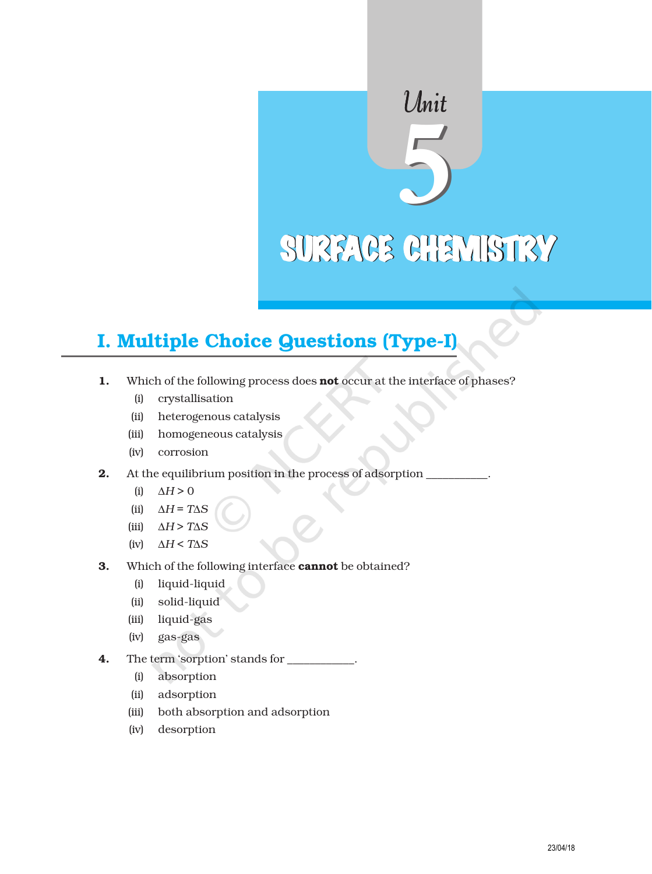# Unit SURFACE CHEMISTRY

# I. Multiple Choice Questions (Type-I)

- 1. Which of the following process does **not** occur at the interface of phases?
	- (i) crystallisation
	- (ii) heterogenous catalysis
	- (iii) homogeneous catalysis
	- (iv) corrosion
- 2. At the equilibrium position in the process of adsorption
	- (i)  $\Delta H > 0$
	- (ii) ∆*H* = *T*∆*S*
	- (iii) ∆*H* > *T*∆*S*
	- (iv) ∆*H* < *T*∆*S*
- 3. Which of the following interface **cannot** be obtained?
	- (i) liquid-liquid
	- (ii) solid-liquid
	- (iii) liquid-gas
	- (iv) gas-gas
- 4. The term 'sorption' stands for \_
	- (i) absorption
	- (ii) adsorption
	- (iii) both absorption and adsorption
	- (iv) desorption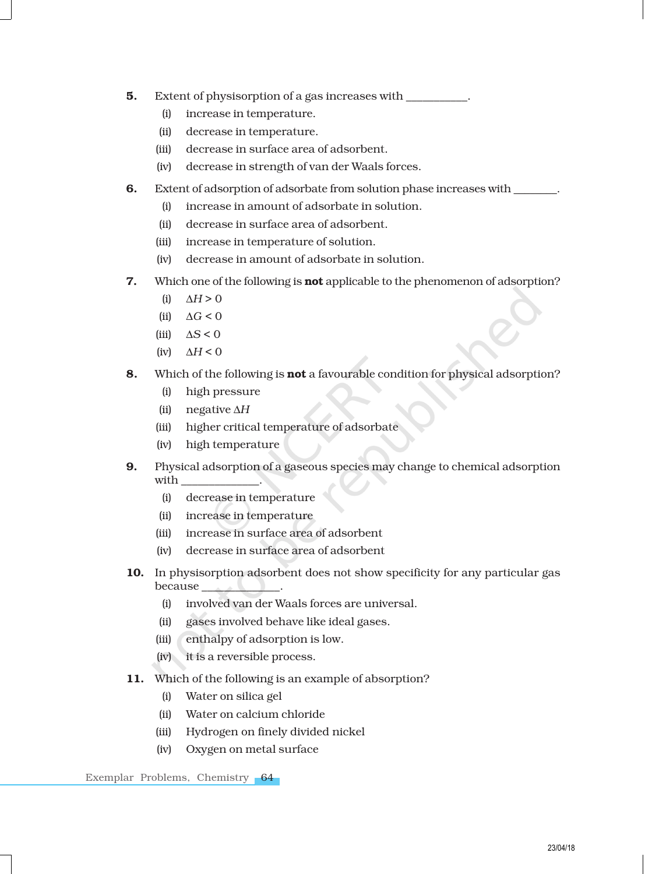- **5.** Extent of physisorption of a gas increases with
	- (i) increase in temperature.
	- (ii) decrease in temperature.
	- (iii) decrease in surface area of adsorbent.
	- (iv) decrease in strength of van der Waals forces.
- 6. Extent of adsorption of adsorbate from solution phase increases with
	- (i) increase in amount of adsorbate in solution.
	- (ii) decrease in surface area of adsorbent.
	- (iii) increase in temperature of solution.
	- (iv) decrease in amount of adsorbate in solution.
- 7. Which one of the following is **not** applicable to the phenomenon of adsorption?
	- $(h)$   $\Delta H > 0$
	- (iii)  $\Delta G \le 0$
	- (iii)  $\Delta S < 0$
	- (iv) ∆*H* < 0
- 8. Which of the following is not a favourable condition for physical adsorption?
	- (i) high pressure
	- (ii) negative ∆*H*
	- (iii) higher critical temperature of adsorbate
	- (iv) high temperature
- 9. Physical adsorption of a gaseous species may change to chemical adsorption with
	- (i) decrease in temperature
	- (ii) increase in temperature
	- (iii) increase in surface area of adsorbent
	- (iv) decrease in surface area of adsorbent
- 10. In physisorption adsorbent does not show specificity for any particular gas because
	- (i) involved van der Waals forces are universal.
	- (ii) gases involved behave like ideal gases.
	- (iii) enthalpy of adsorption is low.
	- (iv) it is a reversible process.
- 11. Which of the following is an example of absorption?
	- (i) Water on silica gel
	- (ii) Water on calcium chloride
	- (iii) Hydrogen on finely divided nickel
	- (iv) Oxygen on metal surface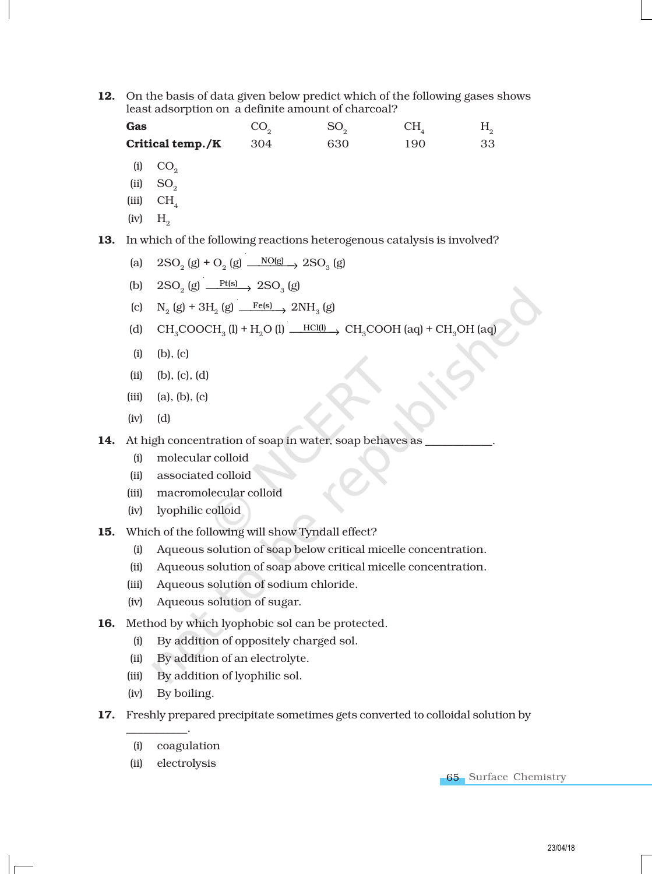12. On the basis of data given below predict which of the following gases shows least adsorption on a definite amount of charcoal?

Gas  $CO<sub>2</sub>$  $SO_2$  CH<sub>4</sub> H<sub>2</sub> **Critical temp./K**  $304$  630 190 33

- $(i)$   $CO<sub>2</sub>$
- $(ii)$  SO<sub>2</sub>
- $(iii)$  CH<sub>4</sub>
- $(iv)$   $H_0$

13. In which of the following reactions heterogenous catalysis is involved?

- (a)  $2\text{SO}_2(g) + \text{O}_2(g) \xrightarrow{\text{NO}(g)} 2\text{SO}_3(g)$
- (b)  $2\text{SO}_2(g) \longrightarrow \text{Pt(s)}$   $2\text{SO}_3(g)$
- (c)  $N_2$  (g) + 3H<sub>2</sub> (g)  $\frac{Fe(s)}{2NH_3}$  (g)
- (d)  $CH_3COOCH_3 (l) + H_2O (l) \longrightarrow CH_3COOH (aq) + CH_3OH (aq)$
- (i) (b), (c)
- (ii) (b), (c), (d)
- $(iii)$   $(a), (b), (c)$
- (iv) (d)
- 14. At high concentration of soap in water, soap behaves as
	- (i) molecular colloid
	- (ii) associated colloid
	- (iii) macromolecular colloid
	- (iv) lyophilic colloid
- 15. Which of the following will show Tyndall effect?
	- (i) Aqueous solution of soap below critical micelle concentration.
	- (ii) Aqueous solution of soap above critical micelle concentration.
	- (iii) Aqueous solution of sodium chloride.
	- (iv) Aqueous solution of sugar.
- 16. Method by which lyophobic sol can be protected.
	- (i) By addition of oppositely charged sol.
	- (ii) By addition of an electrolyte.
	- (iii) By addition of lyophilic sol.
	- (iv) By boiling.

\_\_\_\_\_\_\_\_\_\_\_.

- 17. Freshly prepared precipitate sometimes gets converted to colloidal solution by
	- (i) coagulation
	- (ii) electrolysis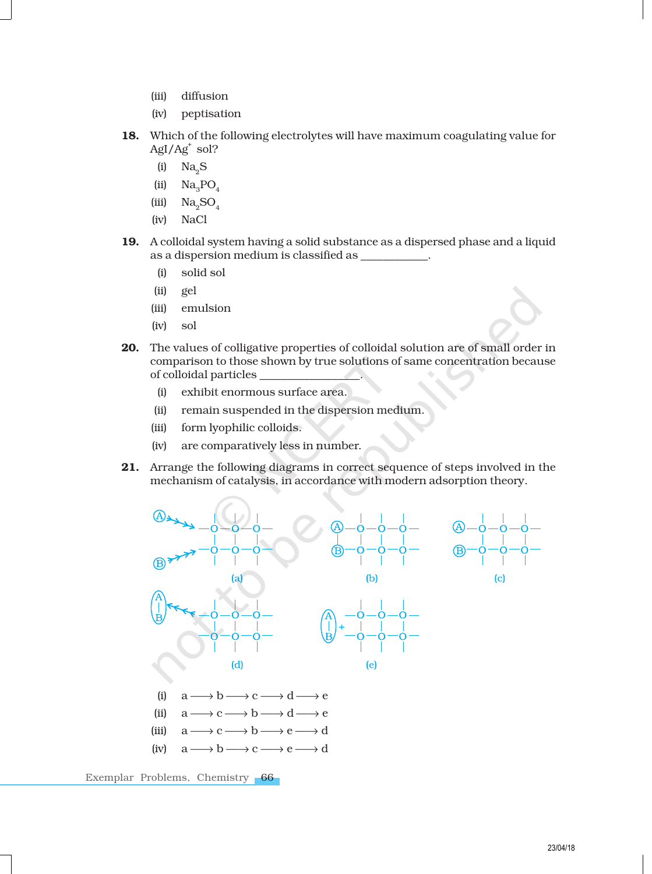- (iii) diffusion
- (iv) peptisation
- 18. Which of the following electrolytes will have maximum coagulating value for AgI/Ag<sup>+</sup> sol?
	- $(i)$  Na<sub>2</sub>S
	- (ii)  $\text{Na}_3\text{PO}_4$
	- (iii)  $\text{Na}_2\text{SO}_4$
	- (iv) NaCl
- 19. A colloidal system having a solid substance as a dispersed phase and a liquid as a dispersion medium is classified as \_\_\_\_\_\_\_\_\_\_\_\_.
	- (i) solid sol
	- (ii) gel
	- (iii) emulsion
	- (iv) sol
- 20. The values of colligative properties of colloidal solution are of small order in comparison to those shown by true solutions of same concentration because of colloidal particles \_\_\_\_\_\_\_\_\_\_\_\_\_\_\_\_\_\_.
	- (i) exhibit enormous surface area.
	- (ii) remain suspended in the dispersion medium.
	- (iii) form lyophilic colloids.
	- (iv) are comparatively less in number.
- 21. Arrange the following diagrams in correct sequence of steps involved in the mechanism of catalysis, in accordance with modern adsorption theory.

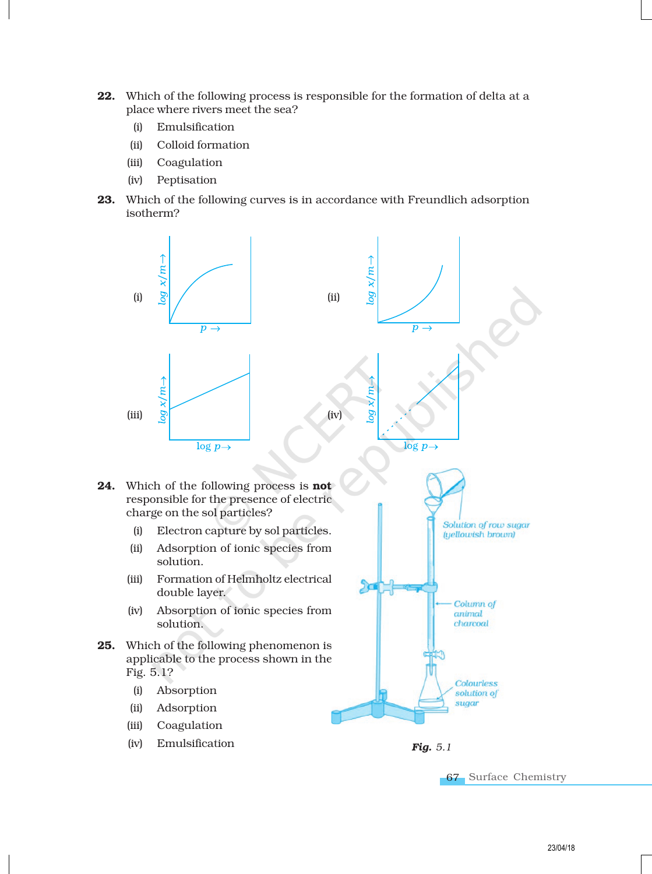- 22. Which of the following process is responsible for the formation of delta at a place where rivers meet the sea?
	- (i) Emulsification
	- (ii) Colloid formation
	- (iii) Coagulation
	- (iv) Peptisation
- 23. Which of the following curves is in accordance with Freundlich adsorption isotherm?



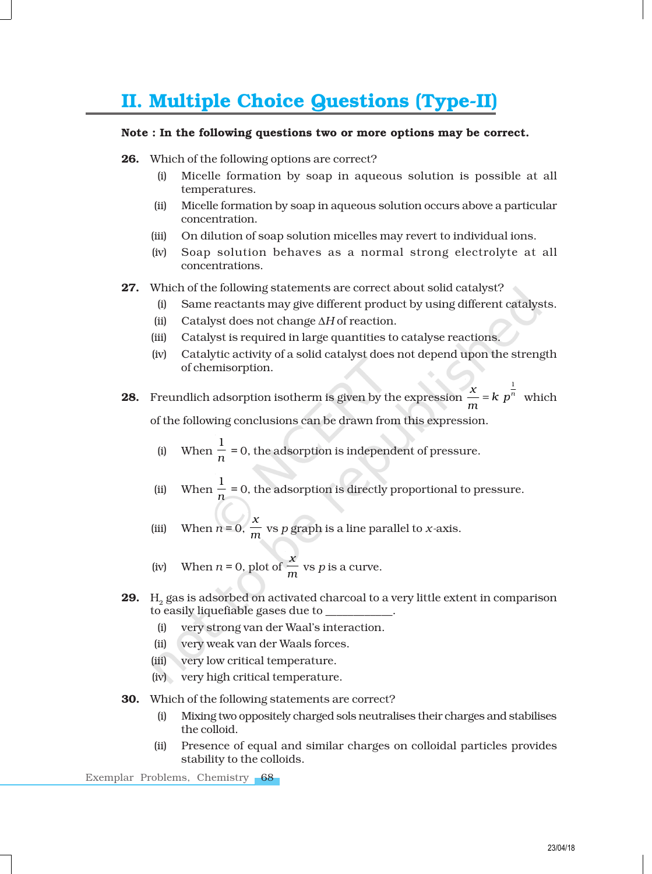# II. Multiple Choice Questions (Type-II)

## Note : In the following questions two or more options may be correct.

- 26. Which of the following options are correct?
	- (i) Micelle formation by soap in aqueous solution is possible at all temperatures.
	- (ii) Micelle formation by soap in aqueous solution occurs above a particular concentration.
	- (iii) On dilution of soap solution micelles may revert to individual ions.
	- (iv) Soap solution behaves as a normal strong electrolyte at all concentrations.
- 27. Which of the following statements are correct about solid catalyst?
	- (i) Same reactants may give different product by using different catalysts.
	- (ii) Catalyst does not change ∆*H* of reaction.
	- (iii) Catalyst is required in large quantities to catalyse reactions.
	- (iv) Catalytic activity of a solid catalyst does not depend upon the strength of chemisorption.
- **28.** Freundlich adsorption isotherm is given by the expression  $\frac{x}{x}$  = k  $p^{\frac{1}{n}}$  $\frac{x}{m} = k p^n$  which of the following conclusions can be drawn from this expression.
	- (i) When 1  $\frac{\hbar}{n}$  = 0, the adsorption is independent of pressure.
	- (ii) When 1  $\frac{n}{n}$  = 0, the adsorption is directly proportional to pressure.
	- (iii) When  $n = 0$ , *x m* vs *p* graph is a line parallel to *x-*axis.
	- (iv) When  $n = 0$ , plot of *x*  $\frac{m}{m}$  vs *p* is a curve.
- **29.**  $\,$  H $_{2}$  gas is adsorbed on activated charcoal to a very little extent in comparison to easily liquefiable gases due to \_\_\_\_\_\_\_\_\_\_\_\_.
	- (i) very strong van der Waal's interaction.
	- (ii) very weak van der Waals forces.
	- (iii) very low critical temperature.
	- (iv) very high critical temperature.
- 30. Which of the following statements are correct?
	- (i) Mixing two oppositely charged sols neutralises their charges and stabilises the colloid.
	- (ii) Presence of equal and similar charges on colloidal particles provides stability to the colloids.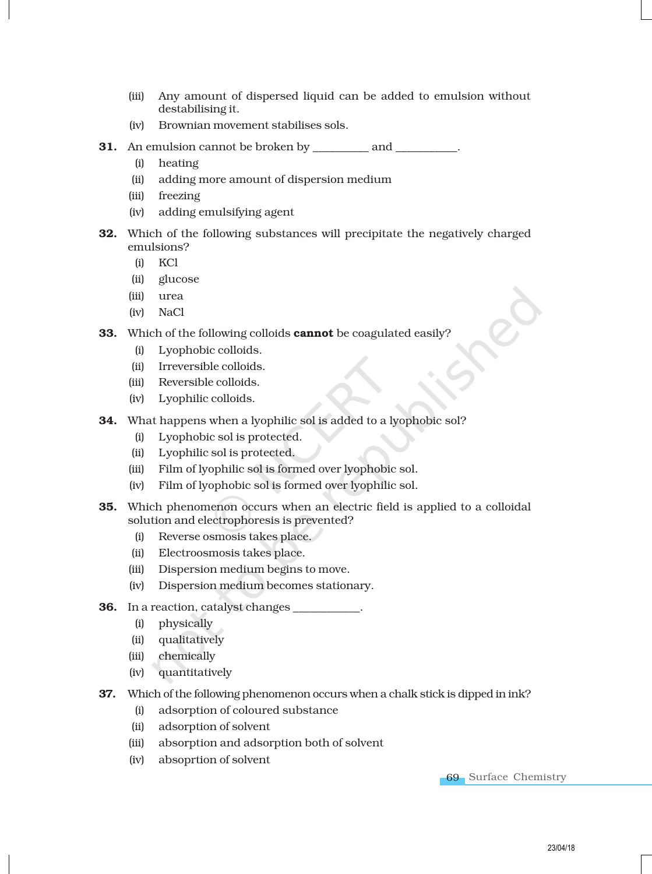- (iii) Any amount of dispersed liquid can be added to emulsion without destabilising it.
- (iv) Brownian movement stabilises sols.
- **31.** An emulsion cannot be broken by \_\_\_\_\_\_\_\_\_\_ and \_\_\_\_\_\_\_\_\_.
	- (i) heating
	- (ii) adding more amount of dispersion medium
	- (iii) freezing
	- (iv) adding emulsifying agent
- 32. Which of the following substances will precipitate the negatively charged emulsions?
	- (i) KCl
	- (ii) glucose
	- (iii) urea
	- (iv) NaCl
- **33.** Which of the following colloids **cannot** be coagulated easily?
	- (i) Lyophobic colloids.
	- (ii) Irreversible colloids.
	- (iii) Reversible colloids.
	- (iv) Lyophilic colloids.
- 34. What happens when a lyophilic sol is added to a lyophobic sol?
	- (i) Lyophobic sol is protected.
	- (ii) Lyophilic sol is protected.
	- (iii) Film of lyophilic sol is formed over lyophobic sol.
	- (iv) Film of lyophobic sol is formed over lyophilic sol.
- 35. Which phenomenon occurs when an electric field is applied to a colloidal solution and electrophoresis is prevented?
	- (i) Reverse osmosis takes place.
	- (ii) Electroosmosis takes place.
	- (iii) Dispersion medium begins to move.
	- (iv) Dispersion medium becomes stationary.
- **36.** In a reaction, catalyst changes
	- (i) physically
	- (ii) qualitatively
	- (iii) chemically
	- (iv) quantitatively
- 37. Which of the following phenomenon occurs when a chalk stick is dipped in ink?
	- (i) adsorption of coloured substance
	- (ii) adsorption of solvent
	- (iii) absorption and adsorption both of solvent
	- (iv) absoprtion of solvent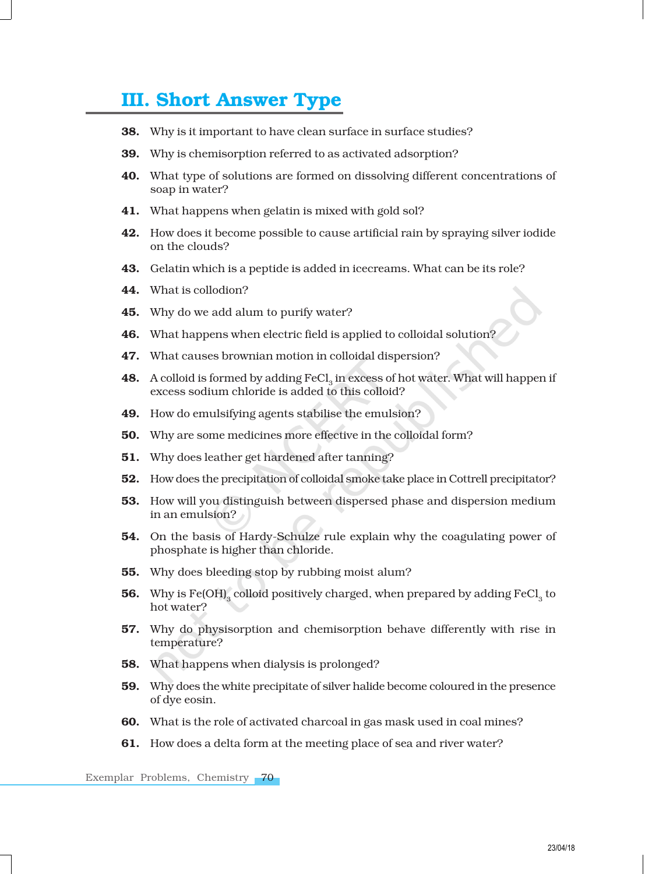# III. Short Answer Type

- 38. Why is it important to have clean surface in surface studies?
- **39.** Why is chemisorption referred to as activated adsorption?
- 40. What type of solutions are formed on dissolving different concentrations of soap in water?
- 41. What happens when gelatin is mixed with gold sol?
- 42. How does it become possible to cause artificial rain by spraying silver iodide on the clouds?
- 43. Gelatin which is a peptide is added in icecreams. What can be its role?
- 44. What is collodion?
- **45.** Why do we add alum to purify water?
- 46. What happens when electric field is applied to colloidal solution?
- 47. What causes brownian motion in colloidal dispersion?
- **48.** A colloid is formed by adding  $\text{FeCl}_{_3}$  in excess of hot water. What will happen if excess sodium chloride is added to this colloid?
- 49. How do emulsifying agents stabilise the emulsion?
- 50. Why are some medicines more effective in the colloidal form?
- **51.** Why does leather get hardened after tanning?
- 52. How does the precipitation of colloidal smoke take place in Cottrell precipitator?
- 53. How will you distinguish between dispersed phase and dispersion medium in an emulsion?
- 54. On the basis of Hardy-Schulze rule explain why the coagulating power of phosphate is higher than chloride.
- 55. Why does bleeding stop by rubbing moist alum?
- **56.** Why is Fe(OH) $_{3}$  colloid positively charged, when prepared by adding FeCl $_{3}$  to hot water?
- 57. Why do physisorption and chemisorption behave differently with rise in temperature?
- 58. What happens when dialysis is prolonged?
- 59. Why does the white precipitate of silver halide become coloured in the presence of dye eosin.
- 60. What is the role of activated charcoal in gas mask used in coal mines?
- 61. How does a delta form at the meeting place of sea and river water?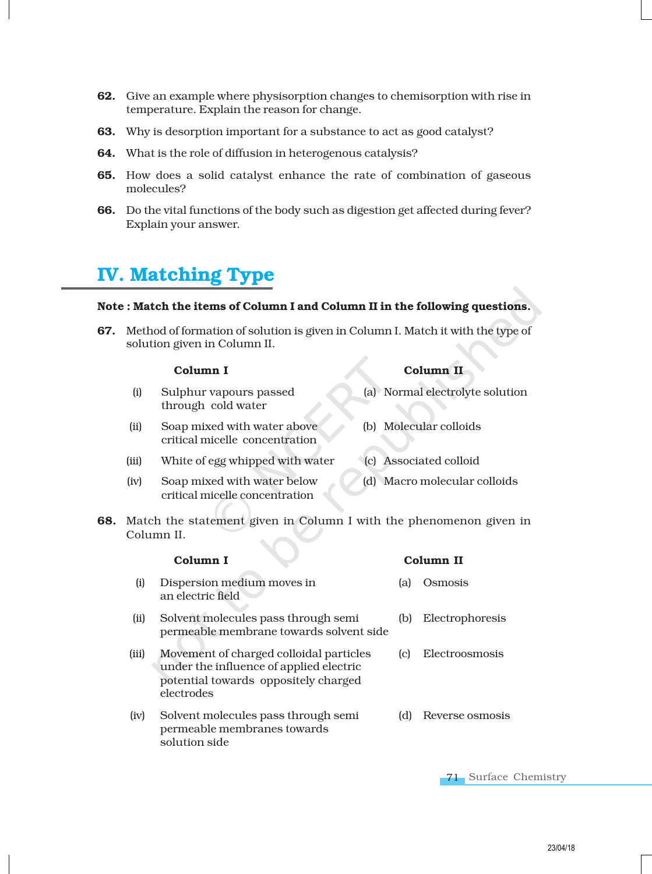- 62. Give an example where physisorption changes to chemisorption with rise in temperature. Explain the reason for change.
- **63.** Why is desorption important for a substance to act as good catalyst?
- 64. What is the role of diffusion in heterogenous catalysis?
- 65. How does a solid catalyst enhance the rate of combination of gaseous molecules?
- 66. Do the vital functions of the body such as digestion get affected during fever? Explain your answer.

# IV. Matching Type

## Note : Match the items of Column I and Column II in the following questions.

67. Method of formation of solution is given in Column I. Match it with the type of solution given in Column II.

### Column I Column II

| (i)  | Sulphur vapours passed<br>through cold water                  | (a) Normal electrolyte solution |
|------|---------------------------------------------------------------|---------------------------------|
| (ii) | Soap mixed with water above<br>critical micelle concentration | (b) Molecular colloids          |

- (iii) White of egg whipped with water (c) Associated colloid
- (iv) Soap mixed with water below (d) Macro molecular colloids critical micelle concentration
- 68. Match the statement given in Column I with the phenomenon given in Column II.

|       | Column I                                                                                                                                 |     | Column II       |
|-------|------------------------------------------------------------------------------------------------------------------------------------------|-----|-----------------|
| (i)   | Dispersion medium moves in<br>an electric field                                                                                          | (a) | Osmosis         |
| (ii)  | Solvent molecules pass through semi<br>permeable membrane towards solvent side                                                           | (b) | Electrophoresis |
| (iii) | Movement of charged colloidal particles<br>under the influence of applied electric<br>potential towards oppositely charged<br>electrodes | (c) | Electroosmosis  |
| (iv)  | Solvent molecules pass through semi<br>permeable membranes towards<br>solution side                                                      | (d) | Reverse osmosis |

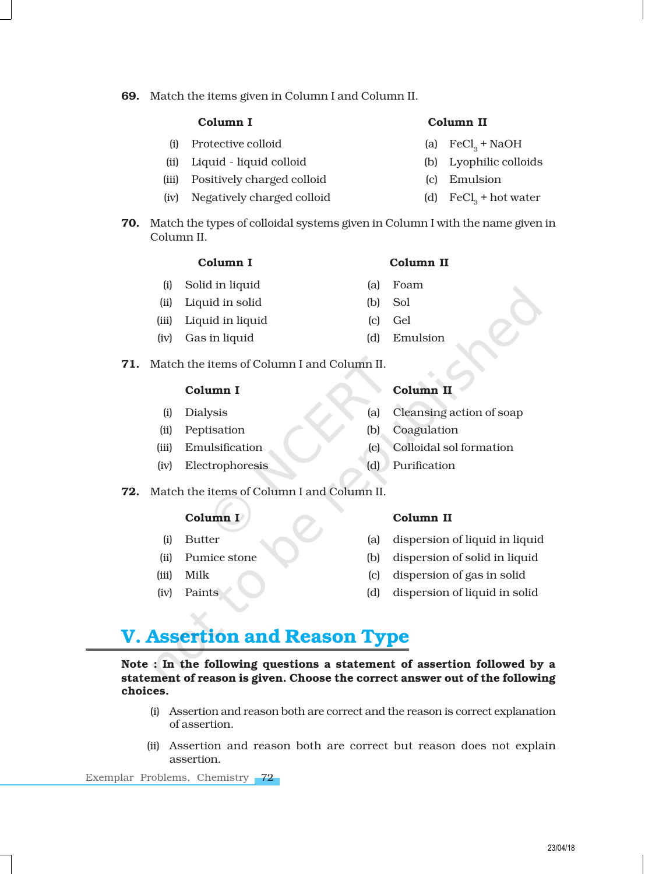69. Match the items given in Column I and Column II.

- (i) Protective colloid
- (ii) Liquid liquid colloid (b) Lyophilic colloids
- (iii) Positively charged colloid (c) Emulsion
- (iv) Negatively charged colloid
- Column I Column II
	- (a)  $\text{FeCl}_2 + \text{NaOH}$
	-
	-
	- (d)  $\text{FeCl}_0$  + hot water
- 70. Match the types of colloidal systems given in Column I with the name given in Column II.

## Column I Column II

- (i) Solid in liquid (a) Foam
- (ii) Liquid in solid (b) Sol
- (iii) Liquid in liquid (c) Gel
- (iv) Gas in liquid (d) Emulsion
- 71. Match the items of Column I and Column II.

## Column I Column II

- 
- 
- 
- (iv) Electrophoresis (d) Purification
- 72. Match the items of Column I and Column II.

- 
- 
- 
- 

## Column I Column II

- (i) Butter (a) dispersion of liquid in liquid
- (ii) Pumice stone (b) dispersion of solid in liquid
- (iii) Milk (c) dispersion of gas in solid
- (iv) Paints (d) dispersion of liquid in solid

# V. Assertion and Reason Type

Note : In the following questions a statement of assertion followed by a statement of reason is given. Choose the correct answer out of the following choices.

- (i) Assertion and reason both are correct and the reason is correct explanation of assertion.
- (ii) Assertion and reason both are correct but reason does not explain assertion.

- 
- (i) Dialysis (a) Cleansing action of soap
- (ii) Peptisation (b) Coagulation
- (iii) Emulsification (c) Colloidal sol formation
	-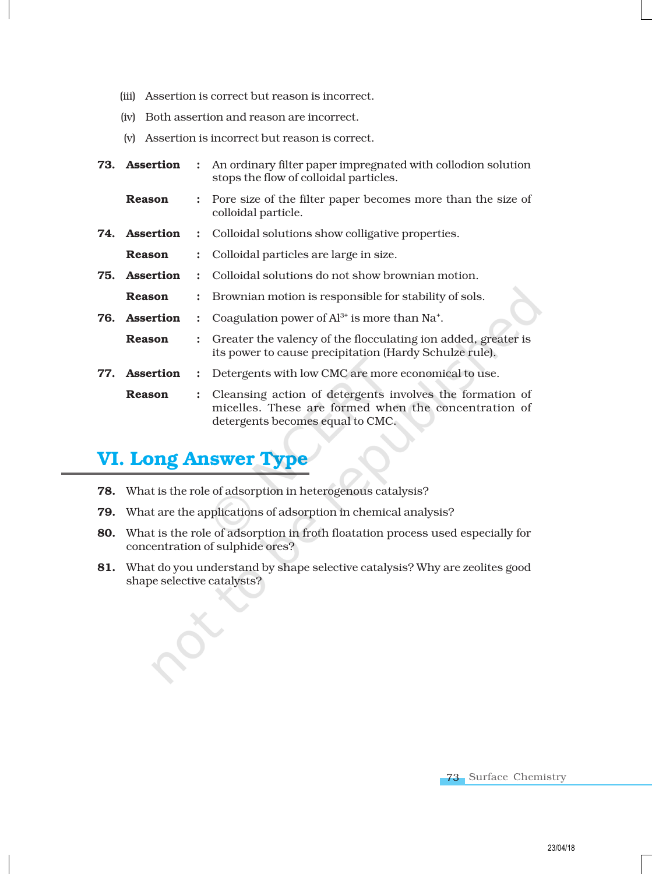- (iii) Assertion is correct but reason is incorrect.
- (iv) Both assertion and reason are incorrect.
- (v) Assertion is incorrect but reason is correct.
- **73. Assertion** : An ordinary filter paper impregnated with collodion solution stops the flow of colloidal particles.
	- **Reason** : Pore size of the filter paper becomes more than the size of colloidal particle.
- **74. Assertion** : Colloidal solutions show colligative properties.
	- Reason : Colloidal particles are large in size.
- **75. Assertion** : Colloidal solutions do not show brownian motion.
	- **Reason** : Brownian motion is responsible for stability of sols.
- **76.** Assertion : Coagulation power of  $Al^{3+}$  is more than Na<sup>+</sup>.
- **Reason** : Greater the valency of the flocculating ion added, greater is its power to cause precipitation (Hardy Schulze rule).
- 77. Assertion : Detergents with low CMC are more economical to use.
	- **Reason** : Cleansing action of detergents involves the formation of micelles. These are formed when the concentration of detergents becomes equal to CMC.

# VI. Long Answer Type

- 78. What is the role of adsorption in heterogenous catalysis?
- 79. What are the applications of adsorption in chemical analysis?
- 80. What is the role of adsorption in froth floatation process used especially for concentration of sulphide ores?
- 81. What do you understand by shape selective catalysis? Why are zeolites good shape selective catalysts?

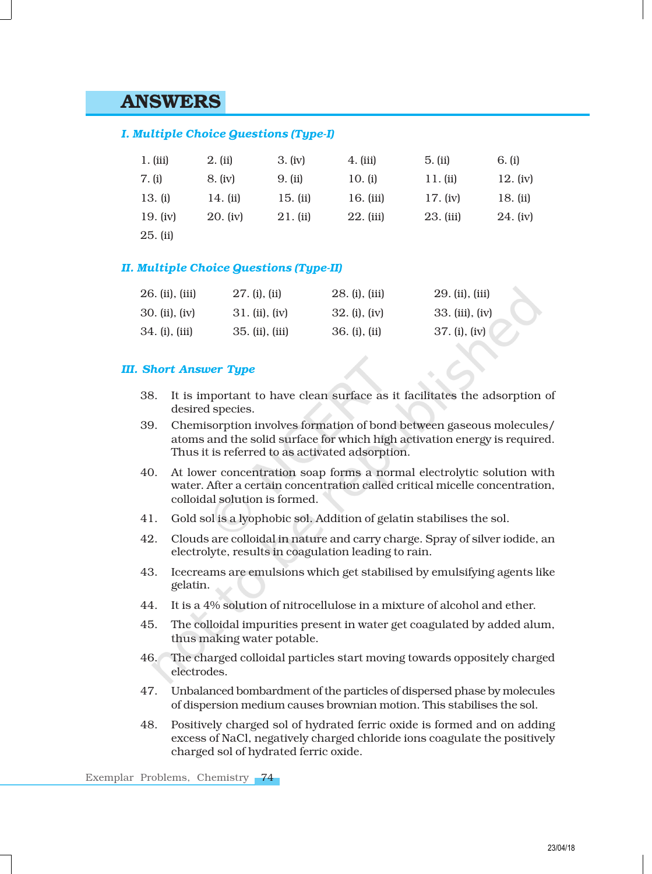## ANSWERS

## *I. Multiple Choice Questions (Type-I)*

| 1. (iii) | 2. (ii)  | 3. (iv)    | 4. (iii)    | 5. (ii)    | 6. (i)   |
|----------|----------|------------|-------------|------------|----------|
| 7. (i)   | 8. (iv)  | 9. (ii)    | 10. (i)     | 11. (ii)   | 12. (iv) |
| 13. (i)  | 14. (ii) | 15. $(ii)$ | 16. (iii)   | 17. $(iv)$ | 18. (ii) |
| 19. (iv) | 20. (iv) | 21. (ii)   | $22.$ (iii) | 23. (iii)  | 24. (iv) |
| 25. (ii) |          |            |             |            |          |

## *II. Multiple Choice Questions (Type-II)*

| $26.$ (ii), (iii) | $27.$ (i), (ii)  | $28.$ (i), (iii) | 29. (ii), (iii)    |
|-------------------|------------------|------------------|--------------------|
| $30.$ (ii), (iv)  | $31.$ (ii), (iv) | $32.$ (i), (iv)  | $33.$ (iii), (iv)  |
| 34. (i), (iii)    | 35. (ii), (iii)  | 36. (i), (ii)    | $37. (i)$ , $(iv)$ |

## *III. Short Answer Type*

- 38. It is important to have clean surface as it facilitates the adsorption of desired species.
- 39. Chemisorption involves formation of bond between gaseous molecules/ atoms and the solid surface for which high activation energy is required. Thus it is referred to as activated adsorption.
- 40. At lower concentration soap forms a normal electrolytic solution with water. After a certain concentration called critical micelle concentration, colloidal solution is formed.
- 41. Gold sol is a lyophobic sol. Addition of gelatin stabilises the sol.
- 42. Clouds are colloidal in nature and carry charge. Spray of silver iodide, an electrolyte, results in coagulation leading to rain.
- 43. Icecreams are emulsions which get stabilised by emulsifying agents like gelatin.
- 44. It is a 4% solution of nitrocellulose in a mixture of alcohol and ether.
- 45. The colloidal impurities present in water get coagulated by added alum, thus making water potable.
- 46. The charged colloidal particles start moving towards oppositely charged electrodes.
- 47. Unbalanced bombardment of the particles of dispersed phase by molecules of dispersion medium causes brownian motion. This stabilises the sol.
- 48. Positively charged sol of hydrated ferric oxide is formed and on adding excess of NaCl, negatively charged chloride ions coagulate the positively charged sol of hydrated ferric oxide.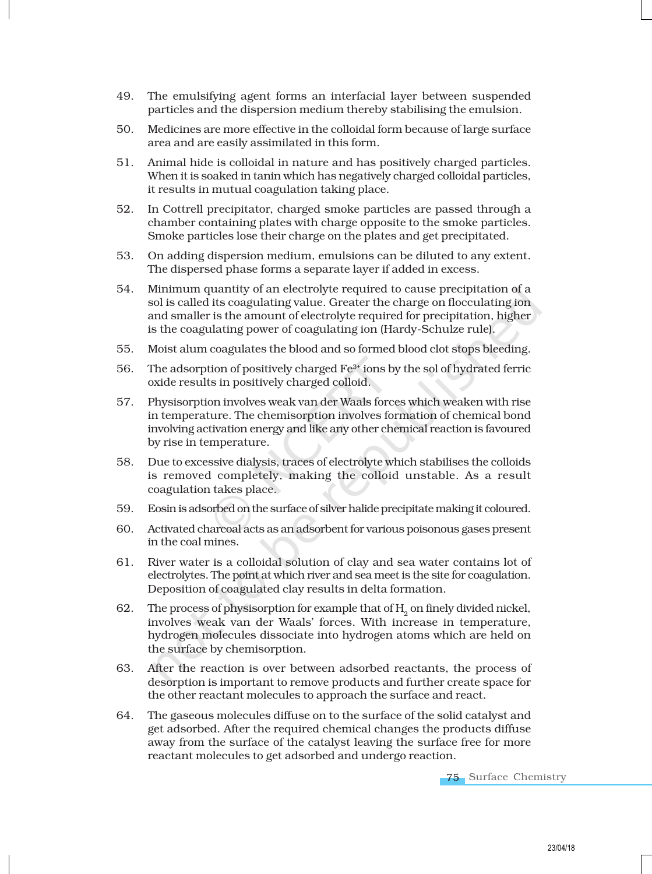- 49. The emulsifying agent forms an interfacial layer between suspended particles and the dispersion medium thereby stabilising the emulsion.
- 50. Medicines are more effective in the colloidal form because of large surface area and are easily assimilated in this form.
- 51. Animal hide is colloidal in nature and has positively charged particles. When it is soaked in tanin which has negatively charged colloidal particles, it results in mutual coagulation taking place.
- 52. In Cottrell precipitator, charged smoke particles are passed through a chamber containing plates with charge opposite to the smoke particles. Smoke particles lose their charge on the plates and get precipitated.
- 53. On adding dispersion medium, emulsions can be diluted to any extent. The dispersed phase forms a separate layer if added in excess.
- 54. Minimum quantity of an electrolyte required to cause precipitation of a sol is called its coagulating value. Greater the charge on flocculating ion and smaller is the amount of electrolyte required for precipitation, higher is the coagulating power of coagulating ion (Hardy-Schulze rule).
- 55. Moist alum coagulates the blood and so formed blood clot stops bleeding.
- 56. The adsorption of positively charged  $Fe^{3+}$  ions by the sol of hydrated ferric oxide results in positively charged colloid.
- 57. Physisorption involves weak van der Waals forces which weaken with rise in temperature. The chemisorption involves formation of chemical bond involving activation energy and like any other chemical reaction is favoured by rise in temperature.
- 58. Due to excessive dialysis, traces of electrolyte which stabilises the colloids is removed completely, making the colloid unstable. As a result coagulation takes place.
- 59. Eosin is adsorbed on the surface of silver halide precipitate making it coloured.
- 60. Activated charcoal acts as an adsorbent for various poisonous gases present in the coal mines.
- 61. River water is a colloidal solution of clay and sea water contains lot of electrolytes. The point at which river and sea meet is the site for coagulation. Deposition of coagulated clay results in delta formation.
- 62. The process of physisorption for example that of  $H_2$  on finely divided nickel, involves weak van der Waals' forces. With increase in temperature, hydrogen molecules dissociate into hydrogen atoms which are held on the surface by chemisorption.
- 63. After the reaction is over between adsorbed reactants, the process of desorption is important to remove products and further create space for the other reactant molecules to approach the surface and react.
- 64. The gaseous molecules diffuse on to the surface of the solid catalyst and get adsorbed. After the required chemical changes the products diffuse away from the surface of the catalyst leaving the surface free for more reactant molecules to get adsorbed and undergo reaction.